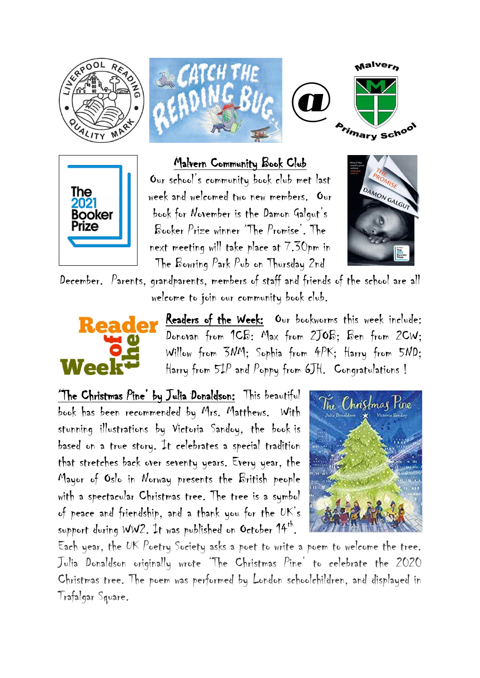







## Malvern Community Book Club

Our school's community book club met last week and welcomed two new members. Our book for November is the Damon Galgut's Booker Prize winner 'The Promise'. The next meeting will take place at 7.30pm in The Bowring Park Pub on Thursday 2nd



December. Parents, grandparents, members of staff and friends of the school are all welcome to join our community book club.



Readers of the Week: Our bookworms this week include: Donovan from 1CB: Max from 2JOB; Ben from 2CW; Willow from 3NM; Sophia from 4PK; Harry from 5ND; Harry from 5IP and Poppy from 6JH. Congratulations !

'The Christmas Pine' by Julia Donaldson: This beautiful book has been recommended by Mrs. Matthews. With stunning illustrations by Victoria Sandoy, the book is based on a true story. It celebrates a special tradition that stretches back over seventy years. Every year, the Mayor of Oslo in Norway presents the British people with a spectacular Christmas tree. The tree is a symbol of peace and friendship, and a thank you for the UK's support during WW2. It was published on October 14th.



Each year, the UK Poetry Society asks a poet to write a poem to welcome the tree. Julia Donaldson originally wrote 'The Christmas Pine' to celebrate the 2020 Christmas tree. The poem was performed by London schoolchildren, and displayed in Trafalgar Square.